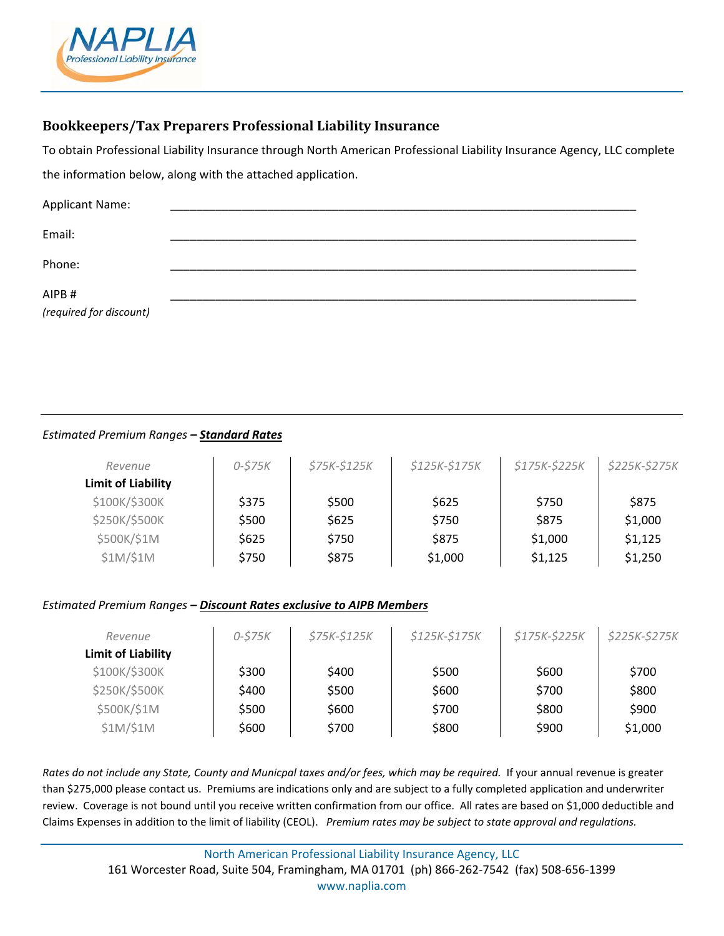

# **Bookkeepers/Tax Preparers Professional Liability Insurance**

To obtain Professional Liability Insurance through North American Professional Liability Insurance Agency, LLC complete the information below, along with the attached application.

| <b>Applicant Name:</b>  |  |  |  |
|-------------------------|--|--|--|
|                         |  |  |  |
| Email:                  |  |  |  |
|                         |  |  |  |
| Phone:                  |  |  |  |
|                         |  |  |  |
| AIPB#                   |  |  |  |
| (required for discount) |  |  |  |

## *Estimated Premium Ranges – Standard Rates*

| Revenue            | $0 - $75K$ | $$75K-$125K$$ | \$125K-\$175K | \$175K-\$225K | \$225K-\$275K |
|--------------------|------------|---------------|---------------|---------------|---------------|
| Limit of Liability |            |               |               |               |               |
| \$100K/\$300K      | \$375      | \$500         | \$625         | \$750         | \$875         |
| \$250K/\$500K      | \$500      | \$625         | \$750         | \$875         | \$1,000       |
| \$500K/\$1M        | \$625      | \$750         | \$875         | \$1,000       | \$1,125       |
| \$1M/\$1M          | \$750      | \$875         | \$1,000       | \$1,125       | \$1,250       |

### *Estimated Premium Ranges – Discount Rates exclusive to AIPB Members*

| Revenue                   | 0-\$75K | $$75K-$125K$$ | \$125K-\$175K | \$175K-\$225K | \$225K-\$275K |
|---------------------------|---------|---------------|---------------|---------------|---------------|
| <b>Limit of Liability</b> |         |               |               |               |               |
| \$100K/\$300K             | \$300   | \$400         | \$500         | \$600         | \$700         |
| \$250K/\$500K             | \$400   | \$500         | \$600         | \$700         | \$800         |
| \$500K/\$1M               | \$500   | \$600         | \$700         | \$800         | \$900         |
| \$1M/\$1M                 | \$600   | \$700         | \$800         | \$900         | \$1,000       |

*Rates do not include any State, County and Municpal taxes and/or fees, which may be required.* If your annual revenue is greater than \$275,000 please contact us. Premiums are indications only and are subject to a fully completed application and underwriter review. Coverage is not bound until you receive written confirmation from our office. All rates are based on \$1,000 deductible and Claims Expenses in addition to the limit of liability (CEOL). *Premium rates may be subject to state approval and regulations.*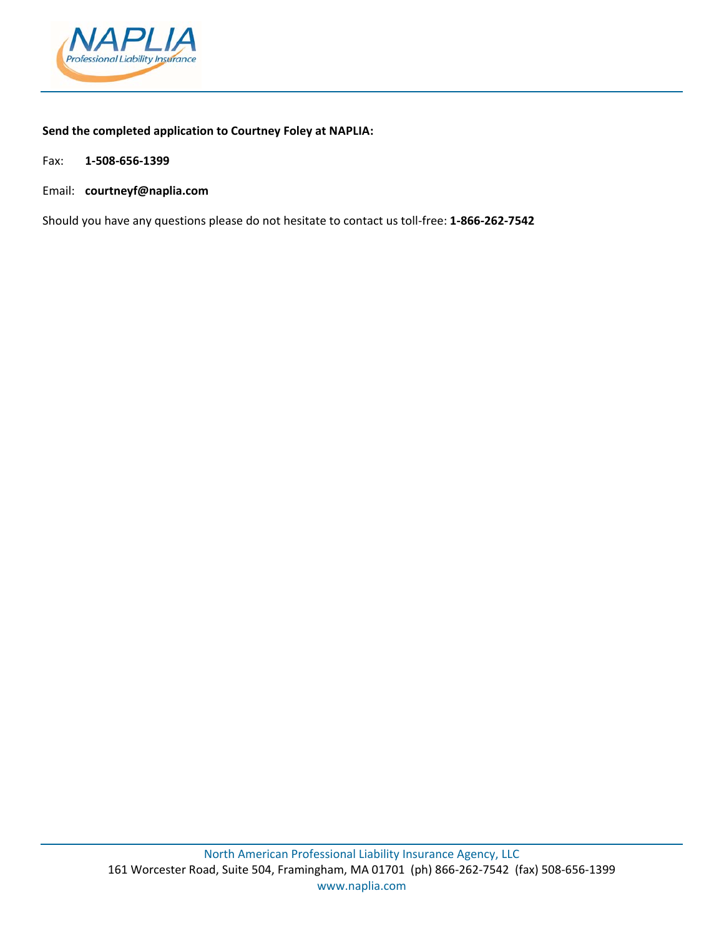

## **Send the completed application to Courtney Foley at NAPLIA:**

Fax: **1‐508‐656‐1399**

Email: **courtneyf@naplia.com**

Should you have any questions please do not hesitate to contact us toll‐free: **1‐866‐262‐7542**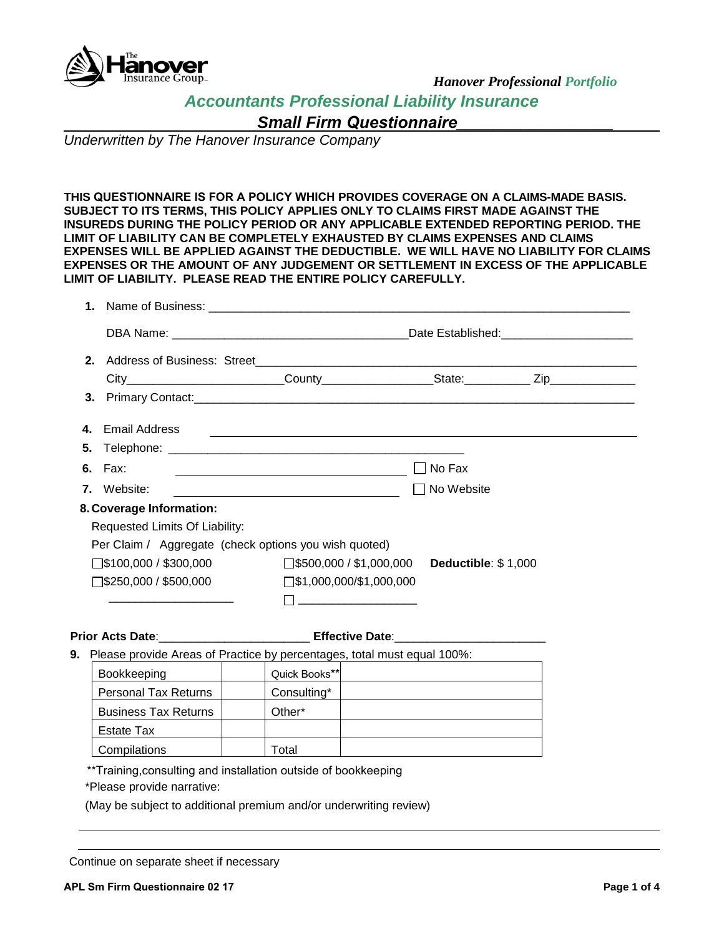

*Hanover Professional Portfolio*

*Accountants Professional Liability Insurance*

*Small Firm Questionnaire\_\_\_\_\_\_\_\_\_\_\_\_\_\_\_\_\_* 

*Underwritten by The Hanover Insurance Company*

**THIS QUESTIONNAIRE IS FOR A POLICY WHICH PROVIDES COVERAGE ON A CLAIMS-MADE BASIS. SUBJECT TO ITS TERMS, THIS POLICY APPLIES ONLY TO CLAIMS FIRST MADE AGAINST THE INSUREDS DURING THE POLICY PERIOD OR ANY APPLICABLE EXTENDED REPORTING PERIOD. THE LIMIT OF LIABILITY CAN BE COMPLETELY EXHAUSTED BY CLAIMS EXPENSES AND CLAIMS EXPENSES WILL BE APPLIED AGAINST THE DEDUCTIBLE. WE WILL HAVE NO LIABILITY FOR CLAIMS EXPENSES OR THE AMOUNT OF ANY JUDGEMENT OR SETTLEMENT IN EXCESS OF THE APPLICABLE LIMIT OF LIABILITY. PLEASE READ THE ENTIRE POLICY CAREFULLY.** 

|    |                                                                                                     |                                                                                                                       |                     | Date Established: Management Contains and Date Established: |
|----|-----------------------------------------------------------------------------------------------------|-----------------------------------------------------------------------------------------------------------------------|---------------------|-------------------------------------------------------------|
|    |                                                                                                     |                                                                                                                       |                     |                                                             |
|    | City____________________________County_______________________State:______________Zip_______________ |                                                                                                                       |                     |                                                             |
|    |                                                                                                     |                                                                                                                       |                     |                                                             |
| 4. | Email Address                                                                                       | <u> 1980 - Andrea State Barbara, amerikan personal di sebagai personal di sebagai personal di sebagai personal di</u> |                     |                                                             |
|    |                                                                                                     |                                                                                                                       |                     |                                                             |
|    | <b>6.</b> Fax:                                                                                      |                                                                                                                       | No Fax              |                                                             |
| 7. | Website:                                                                                            | <u> 1989 - Johann Barbara, martin amerikan personal (</u>                                                             | No Website          |                                                             |
|    | 8. Coverage Information:                                                                            |                                                                                                                       |                     |                                                             |
|    | Requested Limits Of Liability:                                                                      |                                                                                                                       |                     |                                                             |
|    | Per Claim / Aggregate (check options you wish quoted)                                               |                                                                                                                       |                     |                                                             |
|    | $\square$ \$100,000 / \$300,000                                                                     | $\square$ \$500,000 / \$1,000,000                                                                                     | Deductible: \$1,000 |                                                             |
|    | $\square$ \$250,000 / \$500,000                                                                     | $\square$ \$1,000,000/\$1,000,000                                                                                     |                     |                                                             |
|    |                                                                                                     |                                                                                                                       |                     |                                                             |

**Prior Acts Date**:\_\_\_\_\_\_\_\_\_\_\_\_\_\_\_\_\_\_\_\_\_\_\_ **Effective Date**:\_\_\_\_\_\_\_\_\_\_\_\_\_\_\_\_\_\_\_\_\_\_\_

**9.** Please provide Areas of Practice by percentages, total must equal 100%:

| <b>Bookkeeping</b>          | Quick Books** |  |
|-----------------------------|---------------|--|
| <b>Personal Tax Returns</b> | Consulting*   |  |
| <b>Business Tax Returns</b> | Other*        |  |
| Estate Tax                  |               |  |
| Compilations                | Total         |  |

\*\*Training,consulting and installation outside of bookkeeping

\*Please provide narrative:

(May be subject to additional premium and/or underwriting review)

Continue on separate sheet if necessary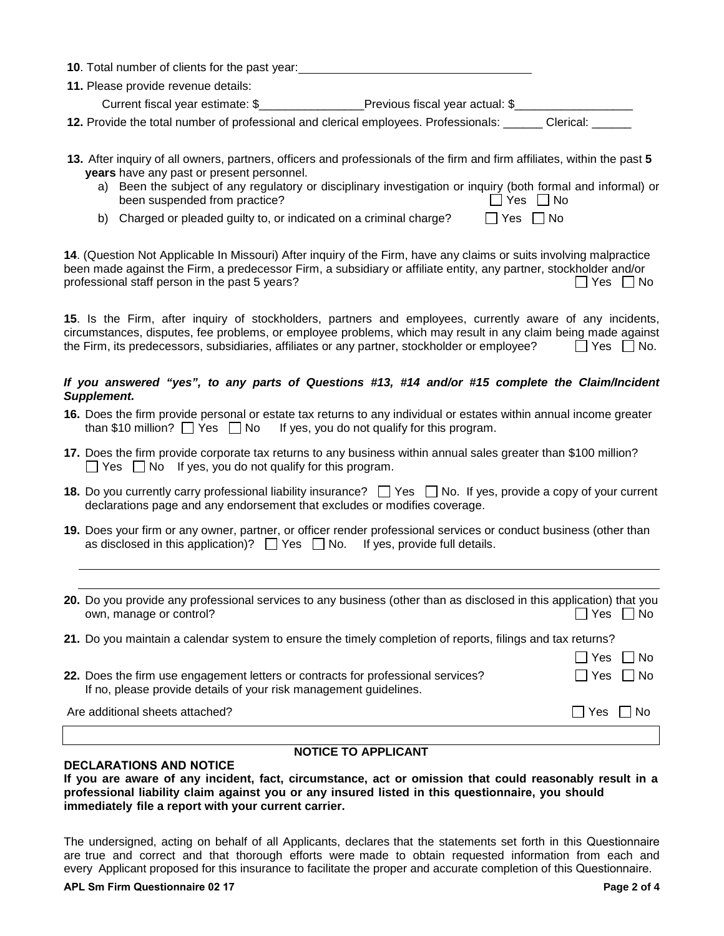| <b>10.</b> Total number of clients for the past year:                                      |                                 |           |
|--------------------------------------------------------------------------------------------|---------------------------------|-----------|
| 11. Please provide revenue details:                                                        |                                 |           |
| Current fiscal year estimate: \$                                                           | Previous fiscal year actual: \$ |           |
| <b>12.</b> Provide the total number of professional and clerical employees. Professionals: |                                 | Clerical: |

- **13.** After inquiry of all owners, partners, officers and professionals of the firm and firm affiliates, within the past **5 years** have any past or present personnel.
	- a) Been the subject of any regulatory or disciplinary investigation or inquiry (both formal and informal) or been suspended from practice? been suspended from practice?

 $\Box$  Yes  $\Box$  No

|  | b) Charged or pleaded guilty to, or indicated on a criminal charge? |
|--|---------------------------------------------------------------------|

**14**. (Question Not Applicable In Missouri) After inquiry of the Firm, have any claims or suits involving malpractice been made against the Firm, a predecessor Firm, a subsidiary or affiliate entity, any partner, stockholder and/or professional staff person in the past 5 years?  $\Box$  Yes  $\Box$  No

**15**. Is the Firm, after inquiry of stockholders, partners and employees, currently aware of any incidents, circumstances, disputes, fee problems, or employee problems, which may result in any claim being made against the Firm, its predecessors, subsidiaries, affiliates or any partner, stockholder or employee?  $\Box$  Yes  $\Box$  No.

## *If you answered "yes", to any parts of Questions #13, #14 and/or #15 complete the Claim/Incident Supplement.*

- **16.** Does the firm provide personal or estate tax returns to any individual or estates within annual income greater than \$10 million?  $\Box$  Yes  $\Box$  No If yes, you do not qualify for this program.
- **17.** Does the firm provide corporate tax returns to any business within annual sales greater than \$100 million?  $\Box$  Yes  $\Box$  No If yes, you do not qualify for this program.
- **18.** Do you currently carry professional liability insurance?  $\Box$  Yes  $\Box$  No. If yes, provide a copy of your current declarations page and any endorsement that excludes or modifies coverage.
- **19.** Does your firm or any owner, partner, or officer render professional services or conduct business (other than as disclosed in this application)?  $\Box$  Yes  $\Box$  No. If yes, provide full details.

| <b>NOTICE TO APPLICANT</b>                                                                                                                            |                   |                            |  |
|-------------------------------------------------------------------------------------------------------------------------------------------------------|-------------------|----------------------------|--|
| Are additional sheets attached?                                                                                                                       | l lYes I INo      |                            |  |
| 22. Does the firm use engagement letters or contracts for professional services?<br>If no, please provide details of your risk management guidelines. | Yes<br>$\Box$ Yes | l IN <sub>o</sub><br>l INo |  |
| 21. Do you maintain a calendar system to ensure the timely completion of reports, filings and tax returns?                                            |                   |                            |  |
| 20. Do you provide any professional services to any business (other than as disclosed in this application) that you<br>own, manage or control?        | Yes               | l INo                      |  |
|                                                                                                                                                       |                   |                            |  |

### **DECLARATIONS AND NOTICE**

**If you are aware of any incident, fact, circumstance, act or omission that could reasonably result in a professional liability claim against you or any insured listed in this questionnaire, you should immediately file a report with your current carrier.** 

The undersigned, acting on behalf of all Applicants, declares that the statements set forth in this Questionnaire are true and correct and that thorough efforts were made to obtain requested information from each and every Applicant proposed for this insurance to facilitate the proper and accurate completion of this Questionnaire.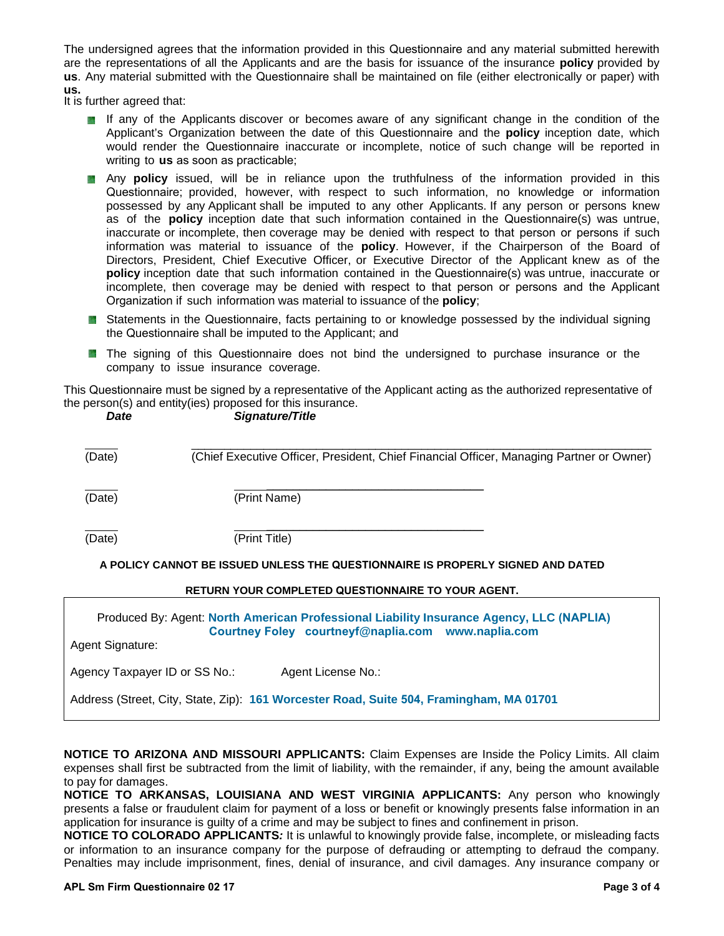The undersigned agrees that the information provided in this Questionnaire and any material submitted herewith are the representations of all the Applicants and are the basis for issuance of the insurance **policy** provided by **us**. Any material submitted with the Questionnaire shall be maintained on file (either electronically or paper) with **us.**

It is further agreed that:

- If any of the Applicants discover or becomes aware of any significant change in the condition of the Applicant's Organization between the date of this Questionnaire and the **policy** inception date, which would render the Questionnaire inaccurate or incomplete, notice of such change will be reported in writing to **us** as soon as practicable;
- Any **policy** issued, will be in reliance upon the truthfulness of the information provided in this Questionnaire; provided, however, with respect to such information, no knowledge or information possessed by any Applicant shall be imputed to any other Applicants. If any person or persons knew as of the **policy** inception date that such information contained in the Questionnaire(s) was untrue, inaccurate or incomplete, then coverage may be denied with respect to that person or persons if such information was material to issuance of the **policy**. However, if the Chairperson of the Board of Directors, President, Chief Executive Officer, or Executive Director of the Applicant knew as of the **policy** inception date that such information contained in the Questionnaire(s) was untrue, inaccurate or incomplete, then coverage may be denied with respect to that person or persons and the Applicant Organization if such information was material to issuance of the **policy**;
- **B** Statements in the Questionnaire, facts pertaining to or knowledge possessed by the individual signing the Questionnaire shall be imputed to the Applicant; and
- **The signing of this Questionnaire does not bind the undersigned to purchase insurance or the** company to issue insurance coverage.

This Questionnaire must be signed by a representative of the Applicant acting as the authorized representative of the person(s) and entity(ies) proposed for this insurance.

| Date             | Signature/Title                                                                                                                                |
|------------------|------------------------------------------------------------------------------------------------------------------------------------------------|
| (Date)           | (Chief Executive Officer, President, Chief Financial Officer, Managing Partner or Owner)                                                       |
| (Date)           | (Print Name)                                                                                                                                   |
| (Date)           | (Print Title)                                                                                                                                  |
|                  | A POLICY CANNOT BE ISSUED UNLESS THE QUESTIONNAIRE IS PROPERLY SIGNED AND DATED                                                                |
|                  | <b>RETURN YOUR COMPLETED QUESTIONNAIRE TO YOUR AGENT.</b>                                                                                      |
| Agent Signature: | Produced By: Agent: North American Professional Liability Insurance Agency, LLC (NAPLIA)<br>Courtney Foley courtneyf@naplia.com www.naplia.com |

Agency Taxpayer ID or SS No.: Agent License No.:

Address (Street, City, State, Zip): **161 Worcester Road, Suite 504, Framingham, MA 01701** 

**NOTICE TO ARIZONA AND MISSOURI APPLICANTS:** Claim Expenses are Inside the Policy Limits. All claim expenses shall first be subtracted from the limit of liability, with the remainder, if any, being the amount available to pay for damages.

**NOTICE TO ARKANSAS, LOUISIANA AND WEST VIRGINIA APPLICANTS:** Any person who knowingly presents a false or fraudulent claim for payment of a loss or benefit or knowingly presents false information in an application for insurance is guilty of a crime and may be subject to fines and confinement in prison.

**NOTICE TO COLORADO APPLICANTS***:* It is unlawful to knowingly provide false, incomplete, or misleading facts or information to an insurance company for the purpose of defrauding or attempting to defraud the company. Penalties may include imprisonment, fines, denial of insurance, and civil damages. Any insurance company or